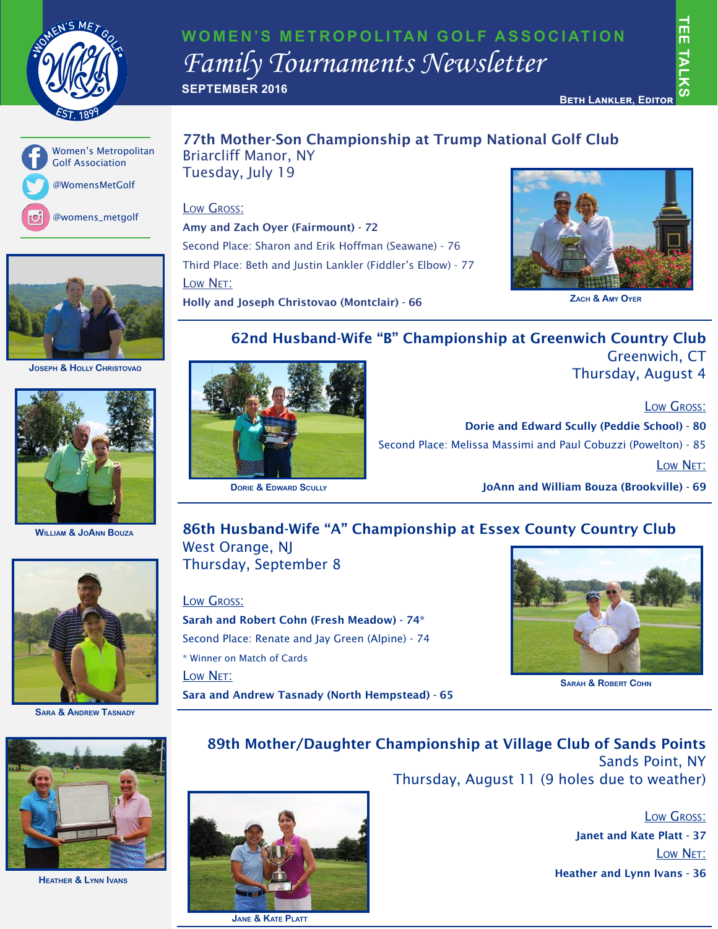

## **WOMEN'S METROPOLITAN GOLF ASSOCIATION** *Family Tournaments Newsletter* **SEPTEMBER 2016**

二四

 $\frac{1}{2}$ 





**Joseph & Holly Christovao**



**William & JoAnn Bouza**



**Sara & Andrew Tasnady**



**Heather & Lynn Ivans**

#### 77th Mother-Son Championship at Trump National Golf Club Briarcliff Manor, NY Tuesday, July 19

#### Low Gross:

Amy and Zach Oyer (Fairmount) - 72 Second Place: Sharon and Erik Hoffman (Seawane) - 76 Third Place: Beth and Justin Lankler (Fiddler's Elbow) - 77 Low Net: Holly and Joseph Christovao (Montclair) - 66



**Zach & Amy Oyer**

#### 62nd Husband-Wife "B" Championship at Greenwich Country Club Greenwich, CT

Thursday, August 4

Low Gross:

Dorie and Edward Scully (Peddie School) - 80 Second Place: Melissa Massimi and Paul Cobuzzi (Powelton) - 85 Low Net: **DORIE & EDWARD SCULLY CONNET AND SCULLY JoAnn and William Bouza (Brookville) - 69** 

### 86th Husband-Wife "A" Championship at Essex County Country Club West Orange, NJ

Thursday, September 8

Low Gross: Sarah and Robert Cohn (Fresh Meadow) - 74\* Second Place: Renate and Jay Green (Alpine) - 74 \* Winner on Match of Cards Low Net: Sara and Andrew Tasnady (North Hempstead) - 65



**Sarah & Robert Cohn**

## 89th Mother/Daughter Championship at Village Club of Sands Points Sands Point, NY

Thursday, August 11 (9 holes due to weather)

Low Gross: Janet and Kate Platt - 37 Low Net: Heather and Lynn Ivans - 36